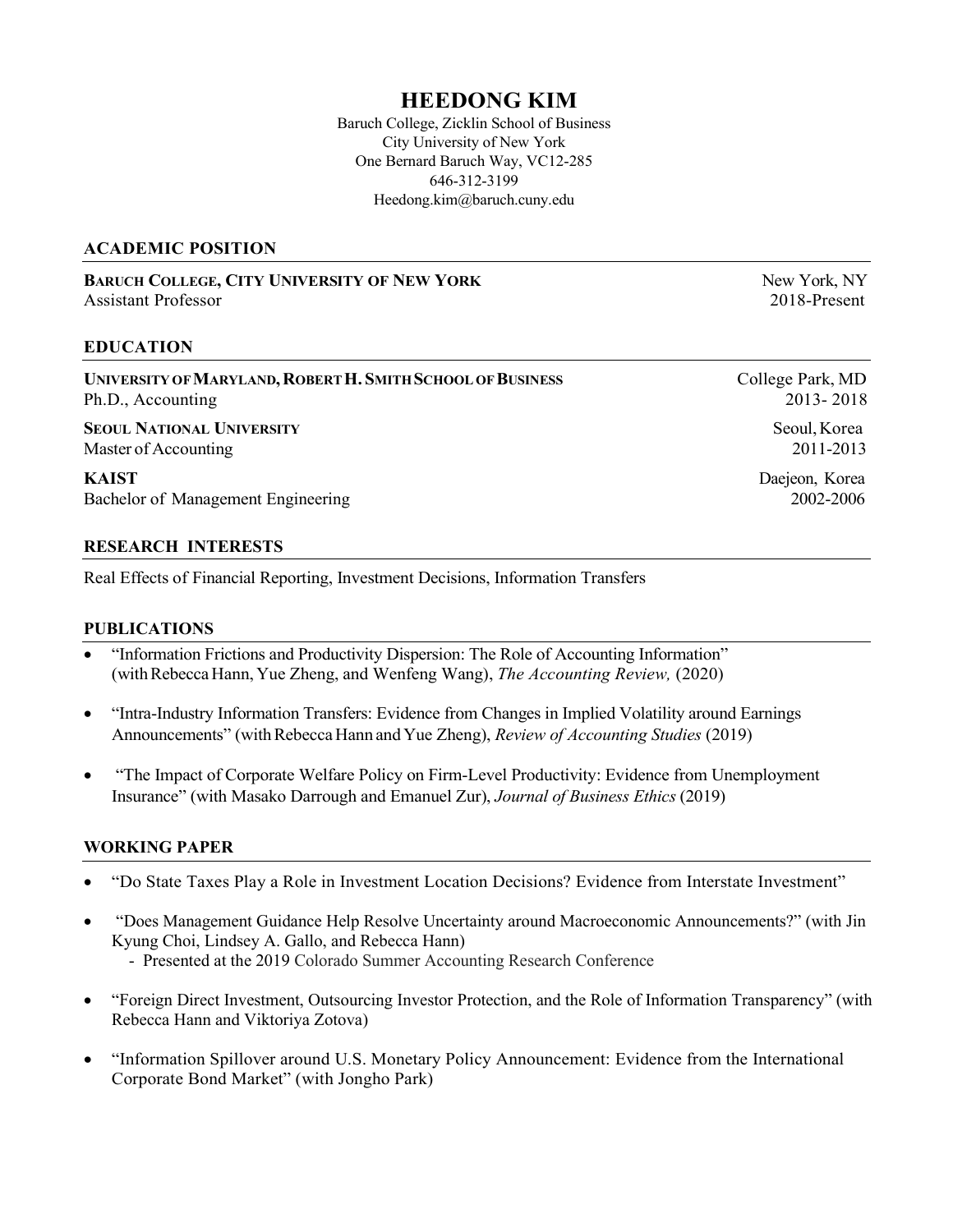# HEEDONG KIM

Baruch College, Zicklin School of Business City University of New York One Bernard Baruch Way, VC12-285 646-312-3199 Heedong.kim@baruch.cuny.edu

### ACADEMIC POSITION

BARUCH COLLEGE, CITY UNIVERSITY OF NEW YORK NEW YORK NEW YORK NEW YORK NEW YORK NEW YORK Assistant Professor 2018-Present

### EDUCATION

UNIVERSITY OF MARYLAND, ROBERT H. SMITH SCHOOL OF BUSINESS College Park, MD Ph.D., Accounting 2013- 2018

SEOUL NATIONAL UNIVERSITY Seoul, Korea Master of Accounting 2011-2013

KAIST Daejeon, Korea Bachelor of Management Engineering 2002-2006

### RESEARCH INTERESTS

Real Effects of Financial Reporting, Investment Decisions, Information Transfers

### PUBLICATIONS

- "Information Frictions and Productivity Dispersion: The Role of Accounting Information" (with Rebecca Hann, Yue Zheng, and Wenfeng Wang), The Accounting Review, (2020)
- "Intra-Industry Information Transfers: Evidence from Changes in Implied Volatility around Earnings Announcements" (with Rebecca Hann and Yue Zheng), Review of Accounting Studies (2019)
- "The Impact of Corporate Welfare Policy on Firm-Level Productivity: Evidence from Unemployment Insurance" (with Masako Darrough and Emanuel Zur), Journal of Business Ethics (2019)

### WORKING PAPER

- "Do State Taxes Play a Role in Investment Location Decisions? Evidence from Interstate Investment"
- "Does Management Guidance Help Resolve Uncertainty around Macroeconomic Announcements?" (with Jin Kyung Choi, Lindsey A. Gallo, and Rebecca Hann)
	- Presented at the 2019 Colorado Summer Accounting Research Conference
- "Foreign Direct Investment, Outsourcing Investor Protection, and the Role of Information Transparency" (with Rebecca Hann and Viktoriya Zotova)
- "Information Spillover around U.S. Monetary Policy Announcement: Evidence from the International Corporate Bond Market" (with Jongho Park)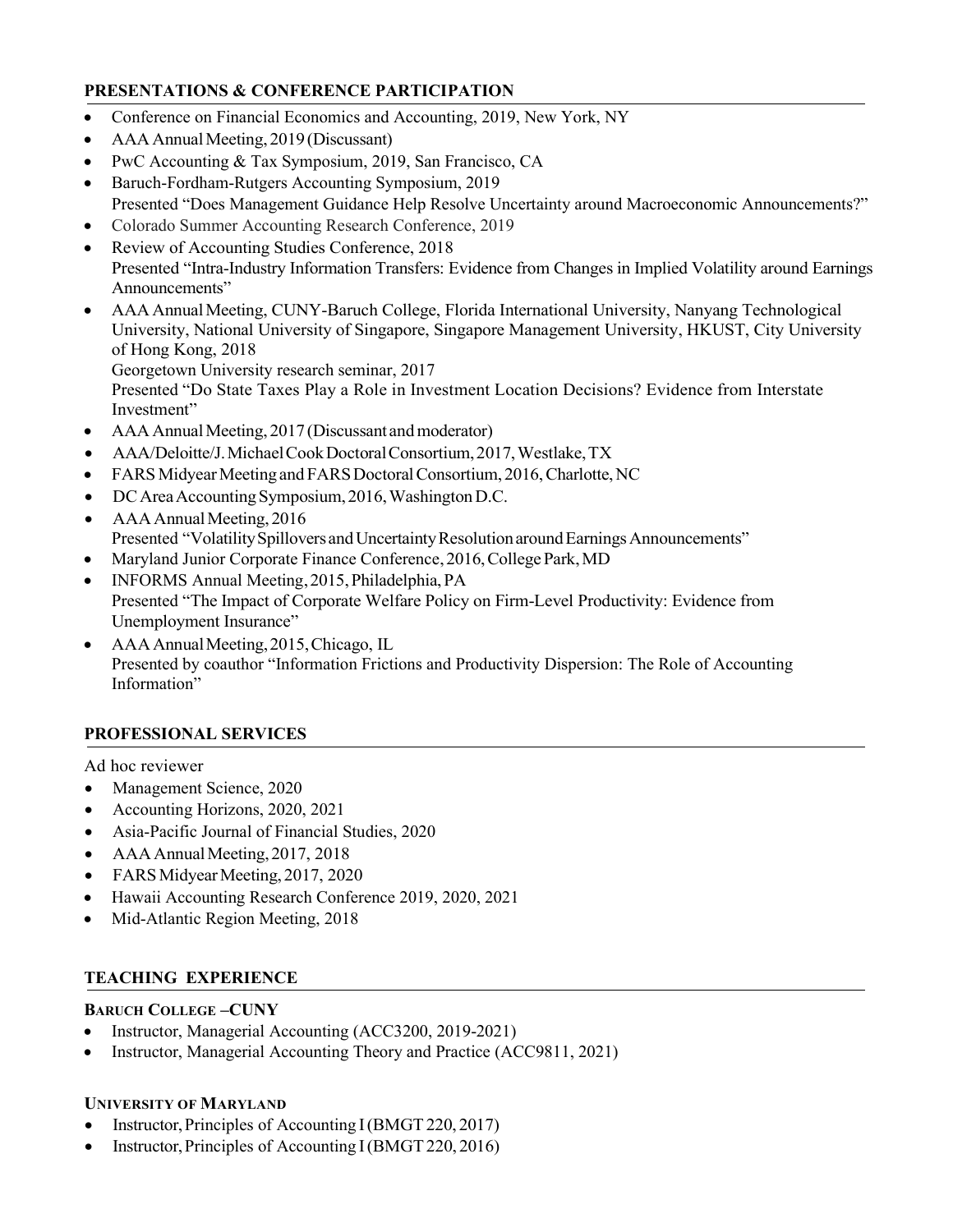### PRESENTATIONS & CONFERENCE PARTICIPATION

- Conference on Financial Economics and Accounting, 2019, New York, NY
- AAA Annual Meeting, 2019 (Discussant)
- PwC Accounting & Tax Symposium, 2019, San Francisco, CA
- Baruch-Fordham-Rutgers Accounting Symposium, 2019
- Presented "Does Management Guidance Help Resolve Uncertainty around Macroeconomic Announcements?"
- Colorado Summer Accounting Research Conference, 2019
- Review of Accounting Studies Conference, 2018 Presented "Intra-Industry Information Transfers: Evidence from Changes in Implied Volatility around Earnings Announcements"
- AAA Annual Meeting, CUNY-Baruch College, Florida International University, Nanyang Technological University, National University of Singapore, Singapore Management University, HKUST, City University of Hong Kong, 2018

Georgetown University research seminar, 2017

Presented "Do State Taxes Play a Role in Investment Location Decisions? Evidence from Interstate Investment"

- AAA Annual Meeting, 2017 (Discussant and moderator)
- AAA/Deloitte/J. Michael Cook Doctoral Consortium, 2017, Westlake, TX
- FARS Midyear Meeting and FARS Doctoral Consortium, 2016, Charlotte, NC
- DC Area Accounting Symposium, 2016, Washington D.C.
- AAA Annual Meeting, 2016 Presented "Volatility Spillovers and Uncertainty Resolution around Earnings Announcements"
- Maryland Junior Corporate Finance Conference, 2016, College Park, MD
- INFORMS Annual Meeting, 2015, Philadelphia, PA Presented "The Impact of Corporate Welfare Policy on Firm-Level Productivity: Evidence from Unemployment Insurance"
- AAA Annual Meeting, 2015, Chicago, IL Presented by coauthor "Information Frictions and Productivity Dispersion: The Role of Accounting Information"

### PROFESSIONAL SERVICES

Ad hoc reviewer

- Management Science, 2020
- Accounting Horizons, 2020, 2021
- Asia-Pacific Journal of Financial Studies, 2020
- AAA Annual Meeting, 2017, 2018
- FARS Midyear Meeting, 2017, 2020
- Hawaii Accounting Research Conference 2019, 2020, 2021
- Mid-Atlantic Region Meeting, 2018

### TEACHING EXPERIENCE

### BARUCH COLLEGE –CUNY

- Instructor, Managerial Accounting (ACC3200, 2019-2021)
- Instructor, Managerial Accounting Theory and Practice (ACC9811, 2021)

### UNIVERSITY OF MARYLAND

- Instructor, Principles of Accounting I (BMGT 220, 2017)
- Instructor, Principles of Accounting I (BMGT 220, 2016)